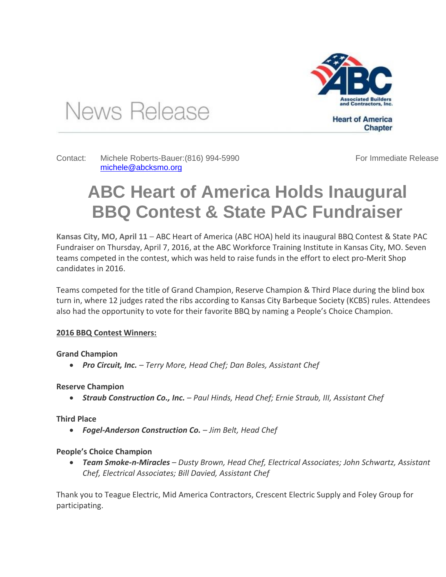

**Heart of America** Chapter

Contact: Michele Roberts-Bauer:(816) 994-5990

[michele@abcksmo.org](mailto:michele@abcksmo.org) 

News Release

For Immediate Release

# **ABC Heart of America Holds Inaugural BBQ Contest & State PAC Fundraiser**

**Kansas City, MO, April 11** – ABC Heart of America (ABC HOA) held its inaugural BBQ Contest & State PAC Fundraiser on Thursday, April 7, 2016, at the ABC Workforce Training Institute in Kansas City, MO. Seven teams competed in the contest, which was held to raise funds in the effort to elect pro-Merit Shop candidates in 2016.

Teams competed for the title of Grand Champion, Reserve Champion & Third Place during the blind box turn in, where 12 judges rated the ribs according to Kansas City Barbeque Society (KCBS) rules. Attendees also had the opportunity to vote for their favorite BBQ by naming a People's Choice Champion.

## **2016 BBQ Contest Winners:**

## **Grand Champion**

*Pro Circuit, Inc. – Terry More, Head Chef; Dan Boles, Assistant Chef*

**Reserve Champion**

*Straub Construction Co., Inc. – Paul Hinds, Head Chef; Ernie Straub, III, Assistant Chef*

## **Third Place**

*Fogel-Anderson Construction Co. – Jim Belt, Head Chef*

## **People's Choice Champion**

 *Team Smoke-n-Miracles – Dusty Brown, Head Chef, Electrical Associates; John Schwartz, Assistant Chef, Electrical Associates; Bill Davied, Assistant Chef*

Thank you to Teague Electric, Mid America Contractors, Crescent Electric Supply and Foley Group for participating.